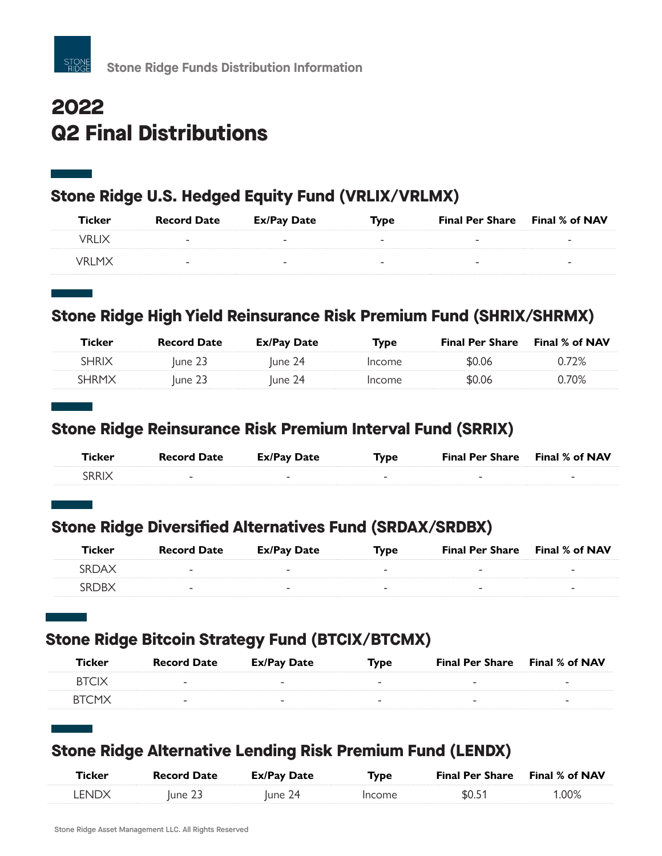

# **2022 Q2 Final Distributions**

#### **Stone Ridge U.S. Hedged Equity Fund (VRLIX/VRLMX)**

| <b>Ticker</b> | <b>Record Date</b>       | Ex/Pay Date              | <b>Type</b>              | <b>Final Per Share</b> Final % of NAV |                          |
|---------------|--------------------------|--------------------------|--------------------------|---------------------------------------|--------------------------|
| VRLIX         | $\overline{\phantom{a}}$ | $\overline{\phantom{a}}$ | $\overline{\phantom{a}}$ | -                                     | $\overline{\phantom{a}}$ |
| VRI MX        | $\overline{\phantom{a}}$ | -                        | $\overline{\phantom{a}}$ | -                                     | $\overline{\phantom{a}}$ |

## **Stone Ridge High Yield Reinsurance Risk Premium Fund (SHRIX/SHRMX)**

| Ticker       | <b>Record Date</b> | Ex/Pay Date | Tvpe   | <b>Final Per Share</b> | Final % of NAV |
|--------------|--------------------|-------------|--------|------------------------|----------------|
| <b>SHRIX</b> | lune 23            | lune 24     | Income | \$0.06                 | 72%            |
| SHRMX        | lune 23            | June 24     | Income | \$0.06                 | 70%            |

#### **Stone Ridge Reinsurance Risk Premium Interval Fund (SRRIX)**

| Ticker | <b>Record Date</b>       | Ex/Pay Date | Type | <b>Final Per Share</b> Final % of NAV |                          |
|--------|--------------------------|-------------|------|---------------------------------------|--------------------------|
| SRRIX  | $\overline{\phantom{0}}$ |             | -    | $\overline{\phantom{0}}$              | $\overline{\phantom{a}}$ |

## **Stone Ridge Diversified Alternatives Fund (SRDAX/SRDBX)**

| Ticker | <b>Record Date</b>       | Ex/Pay Date              | Type | <b>Final Per Share</b> Final % of NAV |                          |
|--------|--------------------------|--------------------------|------|---------------------------------------|--------------------------|
| SRDAX  | $\overline{\phantom{0}}$ | $\overline{\phantom{a}}$ | -    | $\overline{\phantom{0}}$              | $\overline{\phantom{a}}$ |
| RDR)   | $\overline{\phantom{0}}$ | -                        |      | -                                     | -                        |

## **Stone Ridge Bitcoin Strategy Fund (BTCIX/BTCMX)**

| Ticker               | <b>Record Date</b>       | Ex/Pay Date              | <b>Type</b>              | <b>Final Per Share</b> Final % of NAV |                          |
|----------------------|--------------------------|--------------------------|--------------------------|---------------------------------------|--------------------------|
| <b>BTCIX</b>         | $\overline{\phantom{a}}$ | $\overline{\phantom{a}}$ | $\overline{\phantom{a}}$ | $\overline{\phantom{a}}$              | $\overline{\phantom{a}}$ |
| RTCM <sub>&gt;</sub> | $\overline{\phantom{a}}$ | -                        | $\overline{\phantom{a}}$ | $\overline{\phantom{a}}$              | $\overline{\phantom{a}}$ |

#### **Stone Ridge Alternative Lending Risk Premium Fund (LENDX)**

| Ticker | <b>Record Date</b> | <b>Ex/Pay Date</b> | Туре   | <b>Final Per Share</b> Final % of NAV |       |
|--------|--------------------|--------------------|--------|---------------------------------------|-------|
| LENDX  | June 23            | June 24            | Income | \$0.51                                | '.00% |